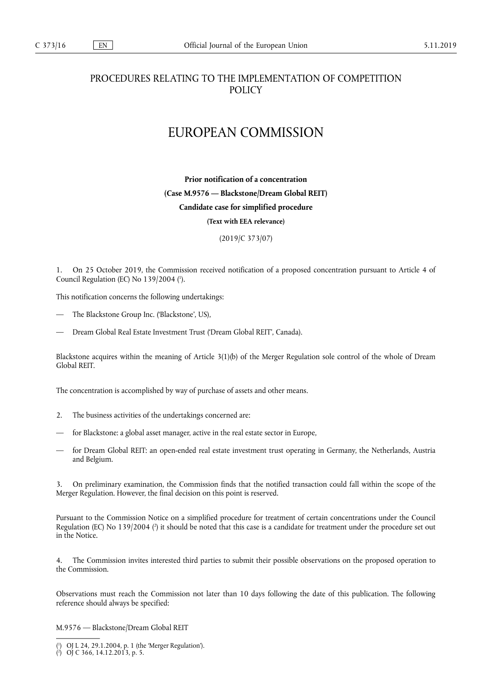## PROCEDURES RELATING TO THE IMPLEMENTATION OF COMPETITION POLICY

## EUROPEAN COMMISSION

**Prior notification of a concentration (Case M.9576 — Blackstone/Dream Global REIT) Candidate case for simplified procedure (Text with EEA relevance)** 

(2019/C 373/07)

1. On 25 October 2019, the Commission received notification of a proposed concentration pursuant to Article 4 of Council Regulation (EC) No 139/2004 ( 1 ).

This notification concerns the following undertakings:

- The Blackstone Group Inc. ('Blackstone', US),
- Dream Global Real Estate Investment Trust ('Dream Global REIT', Canada).

Blackstone acquires within the meaning of Article 3(1)(b) of the Merger Regulation sole control of the whole of Dream Global REIT.

The concentration is accomplished by way of purchase of assets and other means.

- 2. The business activities of the undertakings concerned are:
- for Blackstone: a global asset manager, active in the real estate sector in Europe,
- for Dream Global REIT: an open-ended real estate investment trust operating in Germany, the Netherlands, Austria and Belgium.

3. On preliminary examination, the Commission finds that the notified transaction could fall within the scope of the Merger Regulation. However, the final decision on this point is reserved.

Pursuant to the Commission Notice on a simplified procedure for treatment of certain concentrations under the Council Regulation (EC) No 139/2004 (?) it should be noted that this case is a candidate for treatment under the procedure set out in the Notice.

4. The Commission invites interested third parties to submit their possible observations on the proposed operation to the Commission.

Observations must reach the Commission not later than 10 days following the date of this publication. The following reference should always be specified:

M.9576 — Blackstone/Dream Global REIT

<sup>(</sup> 1 ) OJ L 24, 29.1.2004, p. 1 (the 'Merger Regulation').

<sup>(</sup> 2 ) OJ C 366, 14.12.2013, p. 5.